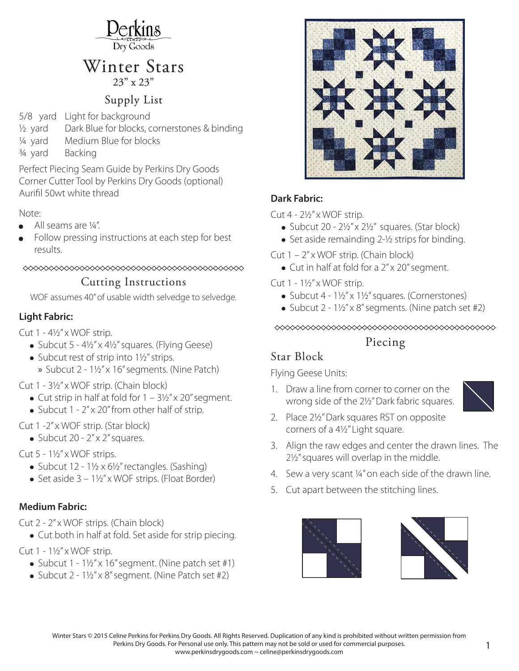

# Winter Stars

## Supply List

5/8 yard Light for background

- ½ yard Dark Blue for blocks, cornerstones & binding
- ¼ yard Medium Blue for blocks
- ¾ yard Backing

Perfect Piecing Seam Guide by Perkins Dry Goods Corner Cutter Tool by Perkins Dry Goods (optional) Aurifil 50wt white thread

#### Note:

- **•** All seams are ¼ ".
- **•** Follow pressing instructions at each step for best results.

# 

 $\overline{S}$ <br>WOF assumes 40" of usable width selvedge to selvedge.

#### **Light Fabric:**

Cut  $1 - 4\frac{1}{2}x$  WOF strip.

- Subcut  $5 4\frac{1}{2}x$  4 $\frac{1}{2}x$  squares. (Flying Geese)
- Subcut rest of strip into 1½" strips.
	- » Subcut 2 1½" x 16" segments. (Nine Patch)

Cut 1 - 3½ " x WOF strip. (Chain block)

- Cut strip in half at fold for  $1 3\frac{1}{2}x$  x 20" segment.
- Subcut 1 2" x 20" from other half of strip.

Cut 1 -2" x WOF strip. (Star block)

• Subcut  $20 - 2'' \times 2''$  squares.

#### Cut  $5 - 1\frac{1}{2}x$  WOF strips.

- Subcut  $12 1\frac{1}{2} \times 6\frac{1}{2}$  rectangles. (Sashing)
- Set aside  $3 1\frac{1}{2}x$  wo F strips. (Float Border)

#### **Medium Fabric:**

Cut 2 - 2" x WOF strips. (Chain block)

• Cut both in half at fold. Set aside for strip piecing.

Cut  $1 - 1\frac{1}{2}x$  w OF strip.

- Subcut  $1 1\frac{1}{2}x$  16" segment. (Nine patch set #1)
- Subcut 2 1½" x 8" segment. (Nine Patch set #2)



#### **Dark Fabric:**

Cut  $4 - 2\frac{1}{2}x$  wOF strip.

- Subcut 20  $2\frac{1}{2}$ " x  $2\frac{1}{2}$ " squares. (Star block)
- Set aside remainding 2-½ strips for binding.
- Cut  $1 2''$  x WOF strip. (Chain block)
	- Cut in half at fold for a 2" x 20" segment.

Cut  $1 - 1\frac{1}{2}x$  WOF strip.

- Subcut 4 1½" x 1½" squares. (Cornerstones)
- Subcut 2 1½" x 8" segments. (Nine patch set #2)

#### 

### Piecing

### Star Block

Star Block Flying Geese Units:

1. Draw a line from corner to corner on the wrong side of the 2½" Dark fabric squares.



- 2. Place 2½" Dark squares RST on opposite corners of a 4½" Light square.
- 3. Align the raw edges and center the drawn lines. The 2½ " squares will overlap in the middle.
- 4. Sew a very scant  $\frac{1}{4}$ " on each side of the drawn line.
- 5. Cut apart between the stitching lines.



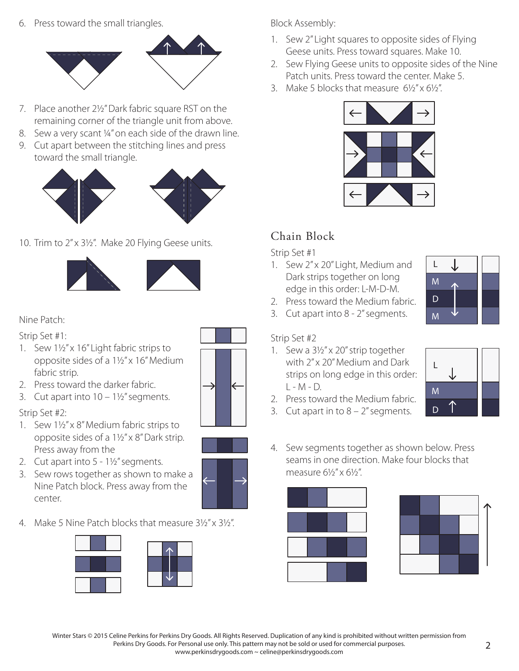6. Press toward the small triangles.



- 7. Place another 2½ " Dark fabric square RST on the remaining corner of the triangle unit from above.
- 8. Sew a very scant 1/4" on each side of the drawn line.
- 9. Cut apart between the stitching lines and press toward the small triangle.



10. Trim to 2" x 3½ ". Make 20 Flying Geese units.



#### Nine Patch:

Strip Set #1:

- 1. Sew 1½" x 16" Light fabric strips to opposite sides of a 1½" x 16" Medium fabric strip.
- 2. Press toward the darker fabric.
- 3. Cut apart into  $10 1\frac{1}{2}$ " segments.

#### Strip Set #2:

- 1. Sew 1½" x 8" Medium fabric strips to opposite sides of a 1½" x 8" Dark strip. Press away from the
- 2. Cut apart into 5 1½" segments.
- 3. Sew rows together as shown to make a Nine Patch block. Press away from the center.
- 4. Make 5 Nine Patch blocks that measure  $3\frac{1}{2}$ " x  $3\frac{1}{2}$ ".







Block Assembly:

- 1. Sew 2" Light squares to opposite sides of Flying Geese units. Press toward squares. Make 10.
- 2. Sew Flying Geese units to opposite sides of the Nine Patch units. Press toward the center. Make 5.
- 3. Make 5 blocks that measure 6½" x 6½".



# Chain Block

strip Set #1

- 1. Sew 2" x 20" Light, Medium and Dark strips together on long edge in this order: L-M-D-M.
- 2. Press toward the Medium fabric.
- 3. Cut apart into 8 2" segments.

#### Strip Set #2

1. Sew a 3½" x 20" strip together with 2" x 20" Medium and Dark strips on long edge in this order:  $I - M - D$ .



3. Cut apart in to  $8 - 2<sup>''</sup>$  segments.





4. Sew segments together as shown below. Press seams in one direction. Make four blocks that measure 61/<sub>2</sub>" x 61/<sub>2</sub>"